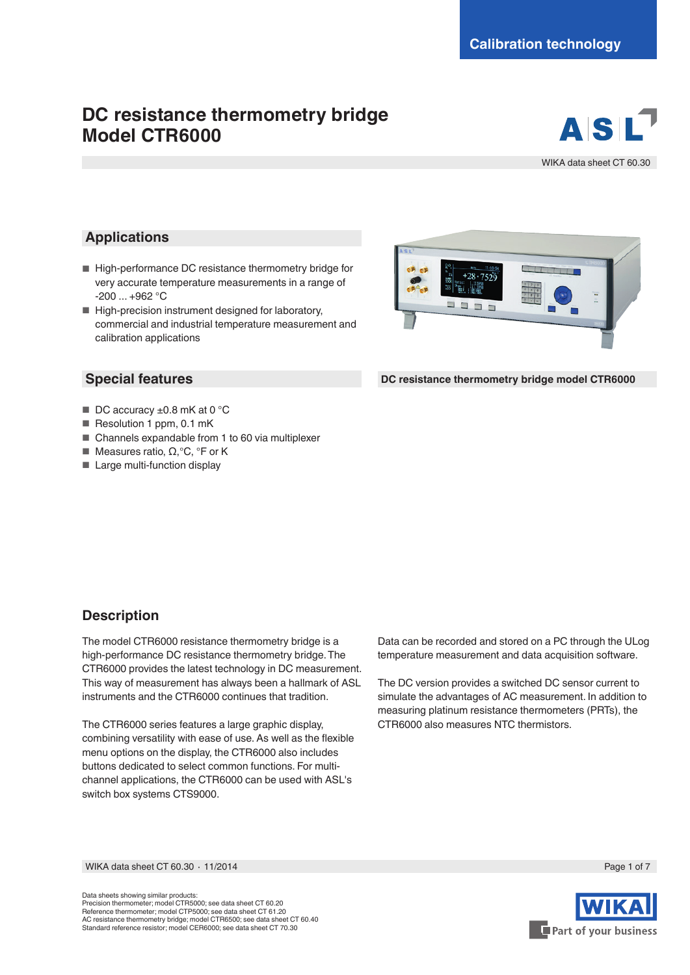# **DC resistance thermometry bridge Model CTR6000**



WIKA data sheet CT 60.30

### **Applications**

- High-performance DC resistance thermometry bridge for very accurate temperature measurements in a range of -200 ... +962 °C
- High-precision instrument designed for laboratory, commercial and industrial temperature measurement and calibration applications

### **Special features**

- $\blacksquare$  DC accuracy  $\pm 0.8$  mK at 0 °C
- Resolution 1 ppm, 0.1 mK
- Channels expandable from 1 to 60 via multiplexer
- Measures ratio, Ω,°C, °F or K
- Large multi-function display



**DC resistance thermometry bridge model CTR6000**

### **Description**

The model CTR6000 resistance thermometry bridge is a high-performance DC resistance thermometry bridge. The CTR6000 provides the latest technology in DC measurement. This way of measurement has always been a hallmark of ASL instruments and the CTR6000 continues that tradition.

The CTR6000 series features a large graphic display, combining versatility with ease of use. As well as the flexible menu options on the display, the CTR6000 also includes buttons dedicated to select common functions. For multichannel applications, the CTR6000 can be used with ASL's switch box systems CTS9000.

Data can be recorded and stored on a PC through the ULog temperature measurement and data acquisition software.

The DC version provides a switched DC sensor current to simulate the advantages of AC measurement. In addition to measuring platinum resistance thermometers (PRTs), the CTR6000 also measures NTC thermistors.

WIKA data sheet CT 60.30 ⋅ 11/2014 Page 1 of 7

Data sheets showing similar products: Precision thermometer; model CTR5000; see data sheet CT 60.20 Reference thermometer; model CTP5000; see data sheet CT 61.20 AC resistance thermometry bridge; model CTR6500; see data sheet CT 60.40 Standard reference resistor; model CER6000; see data sheet CT 70.30

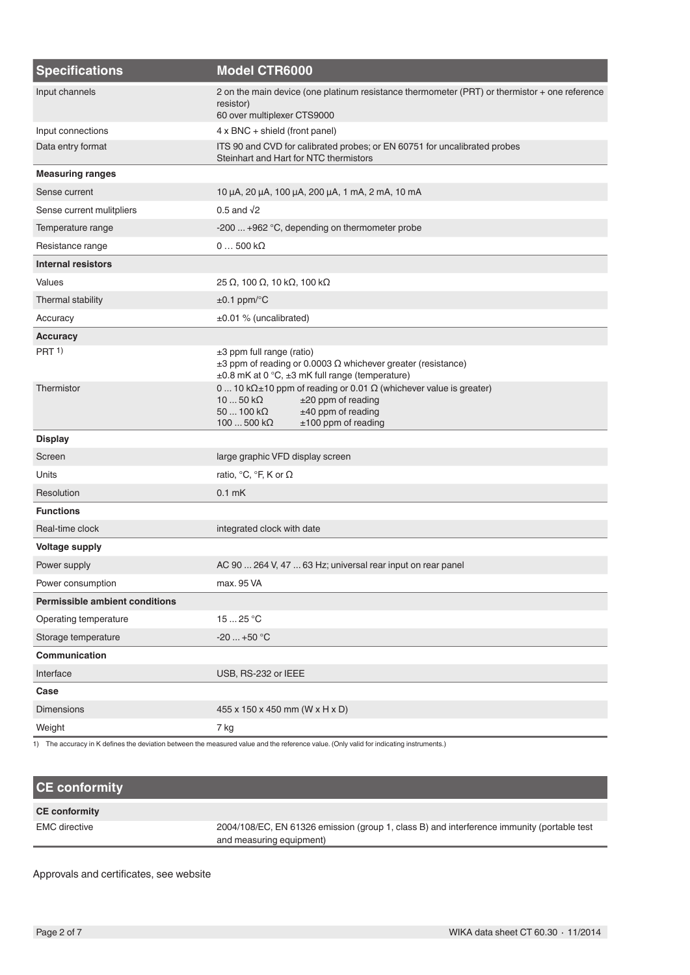| <b>Specifications</b>                 | <b>Model CTR6000</b>                                                                                                                                                                                    |  |
|---------------------------------------|---------------------------------------------------------------------------------------------------------------------------------------------------------------------------------------------------------|--|
| Input channels                        | 2 on the main device (one platinum resistance thermometer (PRT) or thermistor + one reference<br>resistor)<br>60 over multiplexer CTS9000                                                               |  |
| Input connections                     | $4 \times BNC +$ shield (front panel)                                                                                                                                                                   |  |
| Data entry format                     | ITS 90 and CVD for calibrated probes; or EN 60751 for uncalibrated probes<br>Steinhart and Hart for NTC thermistors                                                                                     |  |
| <b>Measuring ranges</b>               |                                                                                                                                                                                                         |  |
| Sense current                         | 10 μA, 20 μA, 100 μA, 200 μA, 1 mA, 2 mA, 10 mA                                                                                                                                                         |  |
| Sense current mulitpliers             | $0.5$ and $\sqrt{2}$                                                                                                                                                                                    |  |
| Temperature range                     | -200  +962 °C, depending on thermometer probe                                                                                                                                                           |  |
| Resistance range                      | $0500 k\Omega$                                                                                                                                                                                          |  |
| <b>Internal resistors</b>             |                                                                                                                                                                                                         |  |
| Values                                | 25 Ω, 100 Ω, 10 kΩ, 100 kΩ                                                                                                                                                                              |  |
| Thermal stability                     | $\pm 0.1$ ppm/ $\mathrm{^{\circ}C}$                                                                                                                                                                     |  |
| Accuracy                              | ±0.01 % (uncalibrated)                                                                                                                                                                                  |  |
| <b>Accuracy</b>                       |                                                                                                                                                                                                         |  |
| PRT <sub>1</sub>                      | ±3 ppm full range (ratio)<br>$\pm 3$ ppm of reading or 0.0003 $\Omega$ whichever greater (resistance)<br>±0.8 mK at 0 °C, ±3 mK full range (temperature)                                                |  |
| Thermistor                            | 0  10 kΩ±10 ppm of reading or 0.01 Ω (whichever value is greater)<br>$1050$ kΩ<br>$±20$ ppm of reading<br>±40 ppm of reading<br>$50100 \text{ k}\Omega$<br>$100500$ k $\Omega$<br>$±100$ ppm of reading |  |
| <b>Display</b>                        |                                                                                                                                                                                                         |  |
| Screen                                | large graphic VFD display screen                                                                                                                                                                        |  |
| Units                                 | ratio, ${}^{\circ}C$ , ${}^{\circ}F$ , K or $\Omega$                                                                                                                                                    |  |
| Resolution                            | $0.1$ mK                                                                                                                                                                                                |  |
| <b>Functions</b>                      |                                                                                                                                                                                                         |  |
| Real-time clock                       | integrated clock with date                                                                                                                                                                              |  |
| <b>Voltage supply</b>                 |                                                                                                                                                                                                         |  |
| Power supply                          | AC 90  264 V, 47  63 Hz; universal rear input on rear panel                                                                                                                                             |  |
| Power consumption                     | max. 95 VA                                                                                                                                                                                              |  |
| <b>Permissible ambient conditions</b> |                                                                                                                                                                                                         |  |
| Operating temperature                 | 15  25 °C                                                                                                                                                                                               |  |
| Storage temperature                   | $-20+50$ °C                                                                                                                                                                                             |  |
| Communication                         |                                                                                                                                                                                                         |  |
| Interface                             | USB, RS-232 or IEEE                                                                                                                                                                                     |  |
| Case                                  |                                                                                                                                                                                                         |  |
| <b>Dimensions</b>                     | 455 x 150 x 450 mm (W x H x D)                                                                                                                                                                          |  |
| Weight                                | 7 kg                                                                                                                                                                                                    |  |
|                                       |                                                                                                                                                                                                         |  |

1) The accuracy in K defines the deviation between the measured value and the reference value. (Only valid for indicating instruments.)

# **CE conformity**

### **CE conformity**

EMC directive 2004/108/EC, EN 61326 emission (group 1, class B) and interference immunity (portable test and measuring equipment)

Approvals and certificates, see website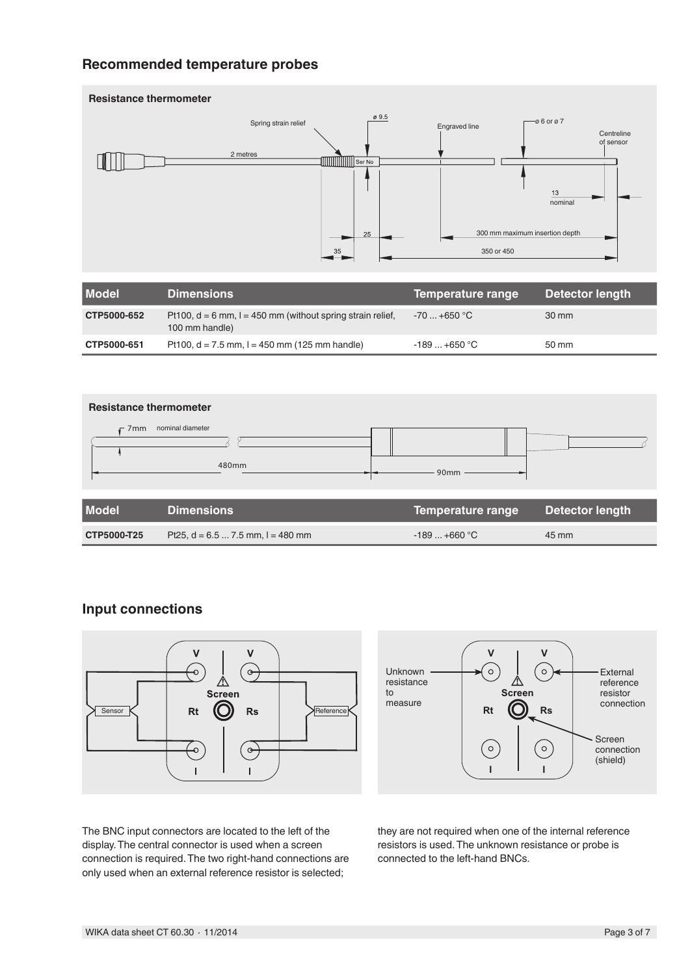## **Recommended temperature probes**



| <b>Model</b> | <b>Dimensions</b>                                                                | Temperature range | Detector length |
|--------------|----------------------------------------------------------------------------------|-------------------|-----------------|
| CTP5000-652  | Pt100, $d = 6$ mm, $l = 450$ mm (without spring strain relief,<br>100 mm handle) | $-70+650$ °C      | 30 mm           |
| CTP5000-651  | Pt100, $d = 7.5$ mm, $l = 450$ mm (125 mm handle)                                | $-189+650$ °C     | 50 mm           |



| <b>THOMA</b> | - - - - - - - - - - - - - - - -       | <b>Competators range Detector rengan</b> |       |
|--------------|---------------------------------------|------------------------------------------|-------|
| CTP5000-T25  | Pt25, $d = 6.5  7.5$ mm, $l = 480$ mm | $-189+660$ °C                            | 45 mm |

### **Input connections**





The BNC input connectors are located to the left of the display. The central connector is used when a screen connection is required. The two right-hand connections are only used when an external reference resistor is selected;

they are not required when one of the internal reference resistors is used. The unknown resistance or probe is connected to the left-hand BNCs.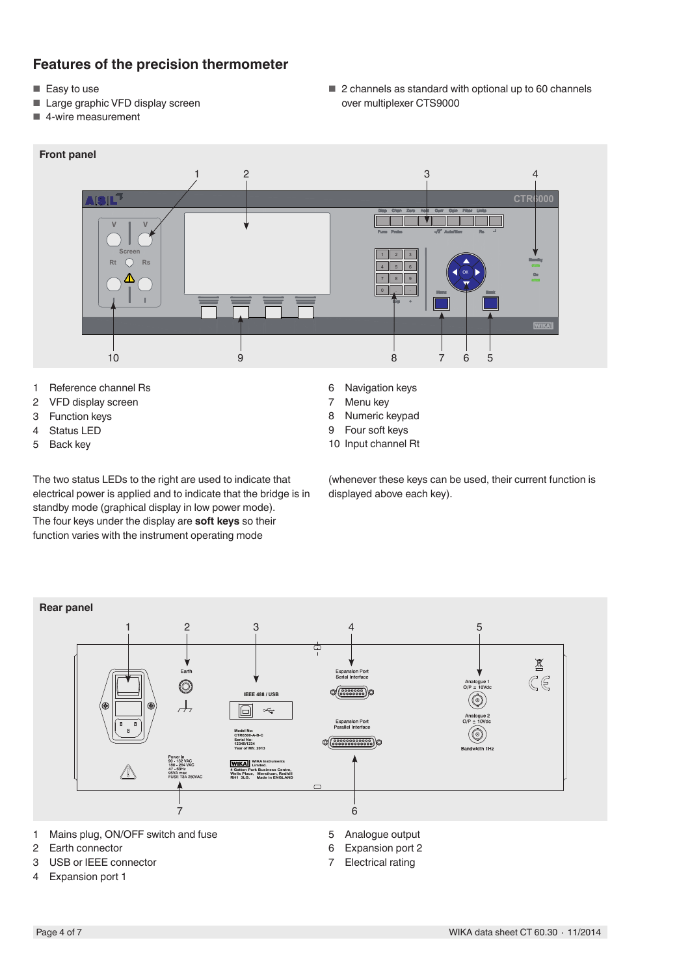## **Features of the precision thermometer**

- Easy to use
- Large graphic VFD display screen
- 4-wire measurement

■ 2 channels as standard with optional up to 60 channels over multiplexer CTS9000



- 1 Reference channel Rs<br>2 VFD display screen
- VFD display screen
- 3 Function keys
- 4 Status LED
- 5 Back key

The two status LEDs to the right are used to indicate that electrical power is applied and to indicate that the bridge is in standby mode (graphical display in low power mode). The four keys under the display are **soft keys** so their function varies with the instrument operating mode

- 6 Navigation keys<br>7 Menu kev
- Menu key
- 8 Numeric keypad
- 9 Four soft keys
- 10 Input channel Rt

(whenever these keys can be used, their current function is displayed above each key).



- 2 Earth connector
- 3 USB or IEEE connector
- 4 Expansion port 1
- 
- 6 Expansion port 2
- 7 Electrical rating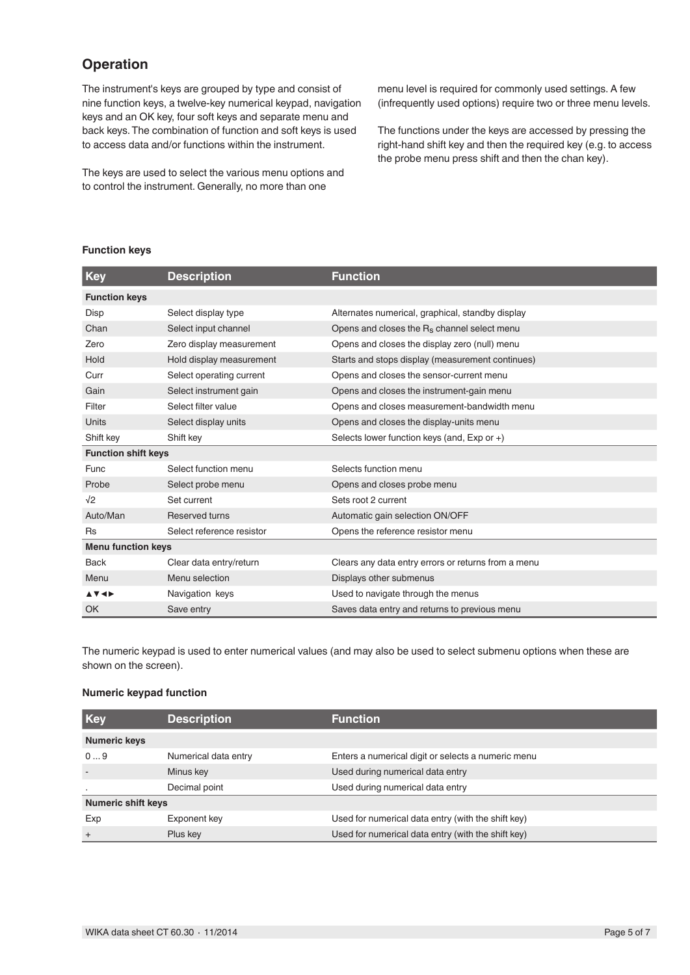## **Operation**

The instrument's keys are grouped by type and consist of nine function keys, a twelve-key numerical keypad, navigation keys and an OK key, four soft keys and separate menu and back keys. The combination of function and soft keys is used to access data and/or functions within the instrument.

The keys are used to select the various menu options and to control the instrument. Generally, no more than one

menu level is required for commonly used settings. A few (infrequently used options) require two or three menu levels.

The functions under the keys are accessed by pressing the right-hand shift key and then the required key (e.g. to access the probe menu press shift and then the chan key).

#### **Function keys**

| <b>Key</b>                 | <b>Description</b>        | <b>Function</b>                                         |
|----------------------------|---------------------------|---------------------------------------------------------|
| <b>Function keys</b>       |                           |                                                         |
| Disp                       | Select display type       | Alternates numerical, graphical, standby display        |
| Chan                       | Select input channel      | Opens and closes the R <sub>s</sub> channel select menu |
| Zero                       | Zero display measurement  | Opens and closes the display zero (null) menu           |
| Hold                       | Hold display measurement  | Starts and stops display (measurement continues)        |
| Curr                       | Select operating current  | Opens and closes the sensor-current menu                |
| Gain                       | Select instrument gain    | Opens and closes the instrument-gain menu               |
| Filter                     | Select filter value       | Opens and closes measurement-bandwidth menu             |
| Units                      | Select display units      | Opens and closes the display-units menu                 |
| Shift key                  | Shift key                 | Selects lower function keys (and, Exp or +)             |
| <b>Function shift keys</b> |                           |                                                         |
| Func                       | Select function menu      | Selects function menu                                   |
| Probe                      | Select probe menu         | Opens and closes probe menu                             |
| $\sqrt{2}$                 | Set current               | Sets root 2 current                                     |
| Auto/Man                   | <b>Reserved turns</b>     | Automatic gain selection ON/OFF                         |
| <b>Rs</b>                  | Select reference resistor | Opens the reference resistor menu                       |
| <b>Menu function keys</b>  |                           |                                                         |
| <b>Back</b>                | Clear data entry/return   | Clears any data entry errors or returns from a menu     |
| Menu                       | Menu selection            | Displays other submenus                                 |
| <b>▲▼◀▶</b>                | Navigation keys           | Used to navigate through the menus                      |
| OK                         | Save entry                | Saves data entry and returns to previous menu           |

The numeric keypad is used to enter numerical values (and may also be used to select submenu options when these are shown on the screen).

#### **Numeric keypad function**

| Key                       | <b>Description</b>   | <b>Function</b>                                    |
|---------------------------|----------------------|----------------------------------------------------|
| <b>Numeric keys</b>       |                      |                                                    |
| 09                        | Numerical data entry | Enters a numerical digit or selects a numeric menu |
|                           | Minus key            | Used during numerical data entry                   |
| $\bullet$                 | Decimal point        | Used during numerical data entry                   |
| <b>Numeric shift keys</b> |                      |                                                    |
| Exp                       | Exponent key         | Used for numerical data entry (with the shift key) |
| $+$                       | Plus key             | Used for numerical data entry (with the shift key) |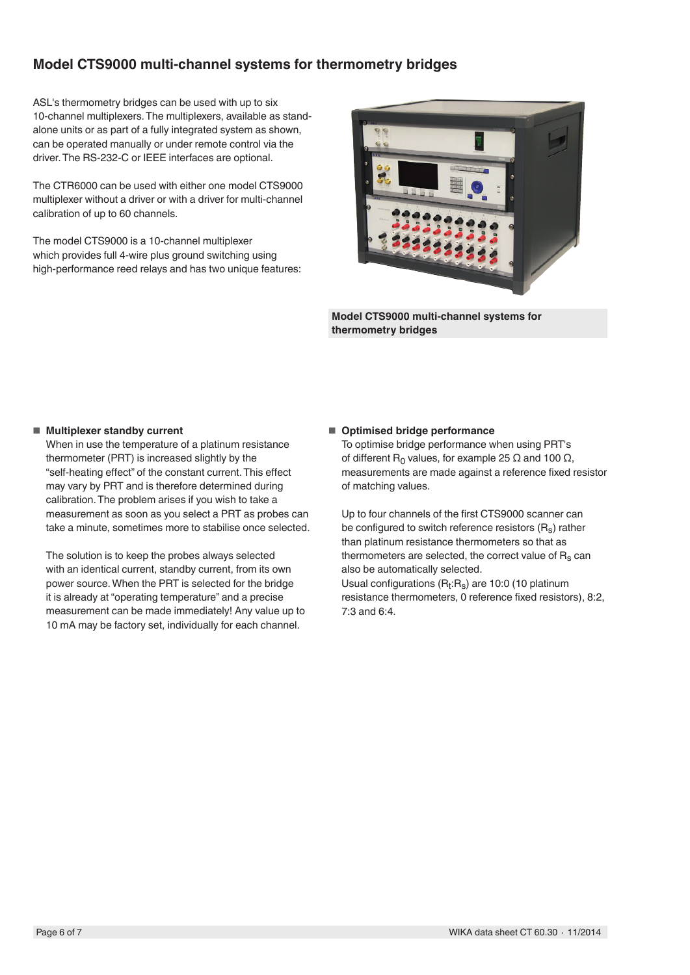## **Model CTS9000 multi-channel systems for thermometry bridges**

ASL's thermometry bridges can be used with up to six 10-channel multiplexers. The multiplexers, available as standalone units or as part of a fully integrated system as shown, can be operated manually or under remote control via the driver. The RS-232-C or IEEE interfaces are optional.

The CTR6000 can be used with either one model CTS9000 multiplexer without a driver or with a driver for multi-channel calibration of up to 60 channels.

The model CTS9000 is a 10-channel multiplexer which provides full 4-wire plus ground switching using high-performance reed relays and has two unique features:



**Model CTS9000 multi-channel systems for thermometry bridges**

#### ■ **Multiplexer standby current**

When in use the temperature of a platinum resistance thermometer (PRT) is increased slightly by the "self-heating effect" of the constant current. This effect may vary by PRT and is therefore determined during calibration. The problem arises if you wish to take a measurement as soon as you select a PRT as probes can take a minute, sometimes more to stabilise once selected.

The solution is to keep the probes always selected with an identical current, standby current, from its own power source. When the PRT is selected for the bridge it is already at "operating temperature" and a precise measurement can be made immediately! Any value up to 10 mA may be factory set, individually for each channel.

#### ■ **Optimised bridge performance**

To optimise bridge performance when using PRT's of different R<sub>0</sub> values, for example 25 Ω and 100 Ω, measurements are made against a reference fixed resistor of matching values.

Up to four channels of the first CTS9000 scanner can be configured to switch reference resistors  $(R_s)$  rather than platinum resistance thermometers so that as thermometers are selected, the correct value of  $R_s$  can also be automatically selected. Usual configurations  $(R_t:R_s)$  are 10:0 (10 platinum

resistance thermometers, 0 reference fixed resistors), 8:2, 7:3 and 6:4.